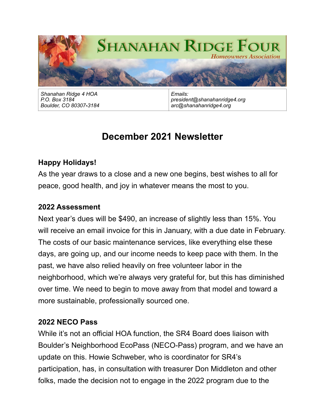

*Shanahan Ridge 4 HOA P.O. Box 3184 Boulder, CO 80307-3184*

*Emails: president@shanahanridge4.org arc@shanahanridge4.org*

# **December 2021 Newsletter**

# **Happy Holidays!**

As the year draws to a close and a new one begins, best wishes to all for peace, good health, and joy in whatever means the most to you.

#### **2022 Assessment**

Next year's dues will be \$490, an increase of slightly less than 15%. You will receive an email invoice for this in January, with a due date in February. The costs of our basic maintenance services, like everything else these days, are going up, and our income needs to keep pace with them. In the past, we have also relied heavily on free volunteer labor in the neighborhood, which we're always very grateful for, but this has diminished over time. We need to begin to move away from that model and toward a more sustainable, professionally sourced one.

### **2022 NECO Pass**

While it's not an official HOA function, the SR4 Board does liaison with Boulder's Neighborhood EcoPass (NECO-Pass) program, and we have an update on this. Howie Schweber, who is coordinator for SR4's participation, has, in consultation with treasurer Don Middleton and other folks, made the decision not to engage in the 2022 program due to the